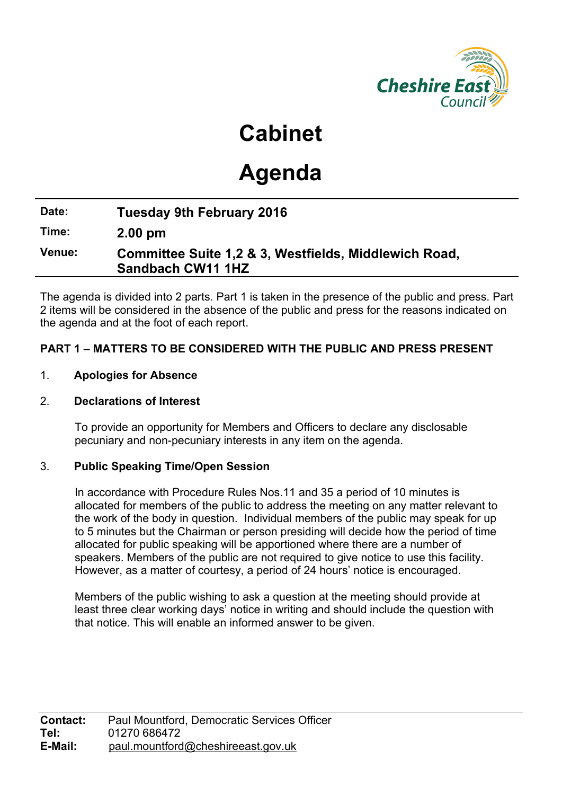

**Cabinet**

# **Agenda**

# **Date: Tuesday 9th February 2016**

**Time: 2.00 pm**

# **Venue: Committee Suite 1,2 & 3, Westfields, Middlewich Road, Sandbach CW11 1HZ**

The agenda is divided into 2 parts. Part 1 is taken in the presence of the public and press. Part 2 items will be considered in the absence of the public and press for the reasons indicated on the agenda and at the foot of each report.

# **PART 1 – MATTERS TO BE CONSIDERED WITH THE PUBLIC AND PRESS PRESENT**

# 1. **Apologies for Absence**

#### 2. **Declarations of Interest**

To provide an opportunity for Members and Officers to declare any disclosable pecuniary and non-pecuniary interests in any item on the agenda.

# 3. **Public Speaking Time/Open Session**

In accordance with Procedure Rules Nos.11 and 35 a period of 10 minutes is allocated for members of the public to address the meeting on any matter relevant to the work of the body in question. Individual members of the public may speak for up to 5 minutes but the Chairman or person presiding will decide how the period of time allocated for public speaking will be apportioned where there are a number of speakers. Members of the public are not required to give notice to use this facility. However, as a matter of courtesy, a period of 24 hours' notice is encouraged.

Members of the public wishing to ask a question at the meeting should provide at least three clear working days' notice in writing and should include the question with that notice. This will enable an informed answer to be given.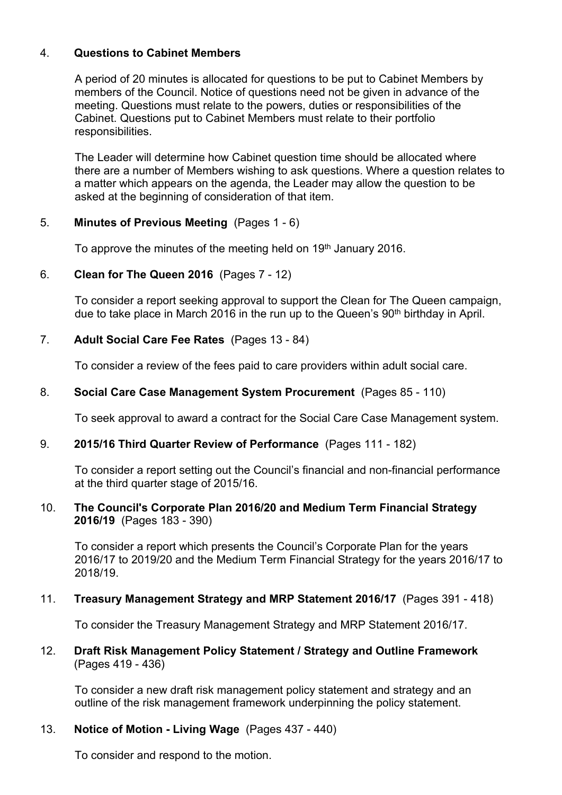#### 4. **Questions to Cabinet Members**

A period of 20 minutes is allocated for questions to be put to Cabinet Members by members of the Council. Notice of questions need not be given in advance of the meeting. Questions must relate to the powers, duties or responsibilities of the Cabinet. Questions put to Cabinet Members must relate to their portfolio responsibilities.

The Leader will determine how Cabinet question time should be allocated where there are a number of Members wishing to ask questions. Where a question relates to a matter which appears on the agenda, the Leader may allow the question to be asked at the beginning of consideration of that item.

# 5. **Minutes of Previous Meeting** (Pages 1 - 6)

To approve the minutes of the meeting held on 19<sup>th</sup> January 2016.

# 6. **Clean for The Queen 2016** (Pages 7 - 12)

To consider a report seeking approval to support the Clean for The Queen campaign, due to take place in March 2016 in the run up to the Queen's 90<sup>th</sup> birthday in April.

# 7. **Adult Social Care Fee Rates** (Pages 13 - 84)

To consider a review of the fees paid to care providers within adult social care.

# 8. **Social Care Case Management System Procurement** (Pages 85 - 110)

To seek approval to award a contract for the Social Care Case Management system.

#### 9. **2015/16 Third Quarter Review of Performance** (Pages 111 - 182)

To consider a report setting out the Council's financial and non-financial performance at the third quarter stage of 2015/16.

#### 10. **The Council's Corporate Plan 2016/20 and Medium Term Financial Strategy 2016/19** (Pages 183 - 390)

To consider a report which presents the Council's Corporate Plan for the years 2016/17 to 2019/20 and the Medium Term Financial Strategy for the years 2016/17 to 2018/19.

#### 11. **Treasury Management Strategy and MRP Statement 2016/17** (Pages 391 - 418)

To consider the Treasury Management Strategy and MRP Statement 2016/17.

#### 12. **Draft Risk Management Policy Statement / Strategy and Outline Framework**  (Pages 419 - 436)

To consider a new draft risk management policy statement and strategy and an outline of the risk management framework underpinning the policy statement.

# 13. **Notice of Motion - Living Wage** (Pages 437 - 440)

To consider and respond to the motion.